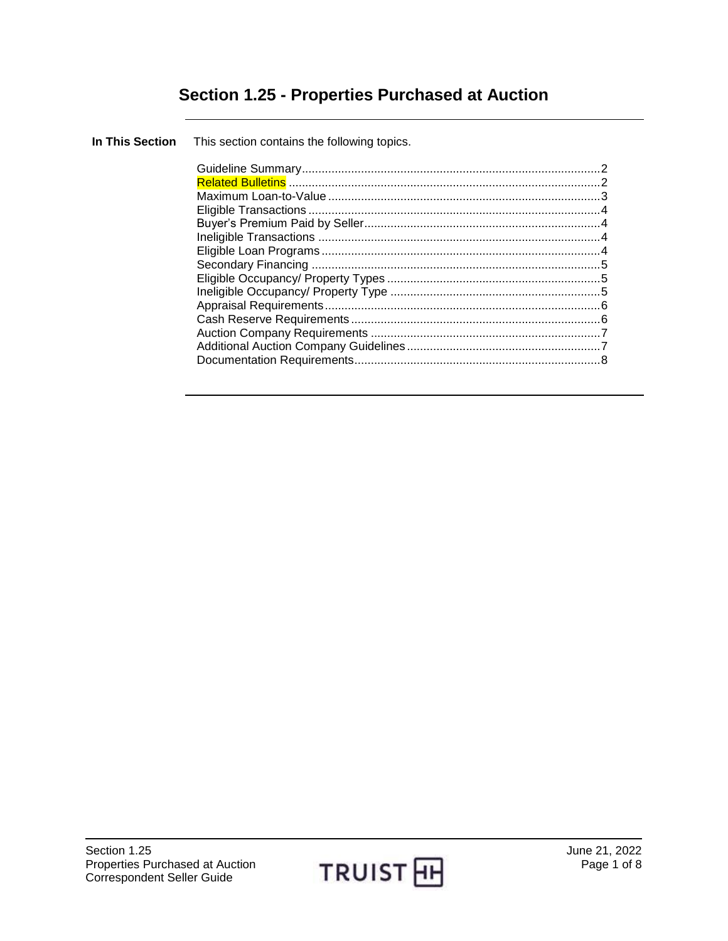# **Section 1.25 - Properties Purchased at Auction**

| In This Section This section contains the following topics. |  |
|-------------------------------------------------------------|--|
|                                                             |  |
|                                                             |  |

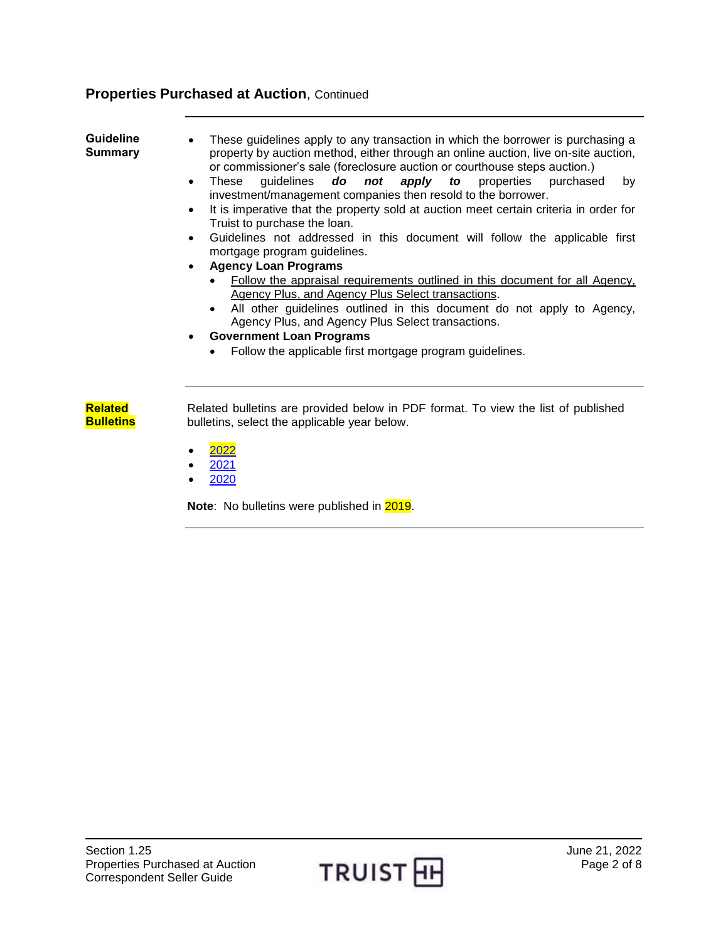<span id="page-1-0"></span>

| <b>Guideline</b><br><b>Summary</b> | These guidelines apply to any transaction in which the borrower is purchasing a<br>property by auction method, either through an online auction, live on-site auction,<br>or commissioner's sale (foreclosure auction or courthouse steps auction.)<br>guidelines <b>do</b> not apply to properties purchased<br>These<br>by<br>$\bullet$<br>investment/management companies then resold to the borrower.<br>It is imperative that the property sold at auction meet certain criteria in order for<br>$\bullet$<br>Truist to purchase the loan.<br>Guidelines not addressed in this document will follow the applicable first<br>$\bullet$<br>mortgage program guidelines.<br><b>Agency Loan Programs</b><br>$\bullet$<br>Follow the appraisal requirements outlined in this document for all Agency,<br>Agency Plus, and Agency Plus Select transactions.<br>All other guidelines outlined in this document do not apply to Agency,<br>Agency Plus, and Agency Plus Select transactions.<br><b>Government Loan Programs</b><br>$\bullet$<br>Follow the applicable first mortgage program guidelines. |
|------------------------------------|-------------------------------------------------------------------------------------------------------------------------------------------------------------------------------------------------------------------------------------------------------------------------------------------------------------------------------------------------------------------------------------------------------------------------------------------------------------------------------------------------------------------------------------------------------------------------------------------------------------------------------------------------------------------------------------------------------------------------------------------------------------------------------------------------------------------------------------------------------------------------------------------------------------------------------------------------------------------------------------------------------------------------------------------------------------------------------------------------------|
| <b>Related</b><br><b>Bulletins</b> | Related bulletins are provided below in PDF format. To view the list of published<br>bulletins, select the applicable year below.<br>2022<br>2021<br>2020                                                                                                                                                                                                                                                                                                                                                                                                                                                                                                                                                                                                                                                                                                                                                                                                                                                                                                                                             |

<span id="page-1-1"></span>**Note:** No bulletins were published in 2019.

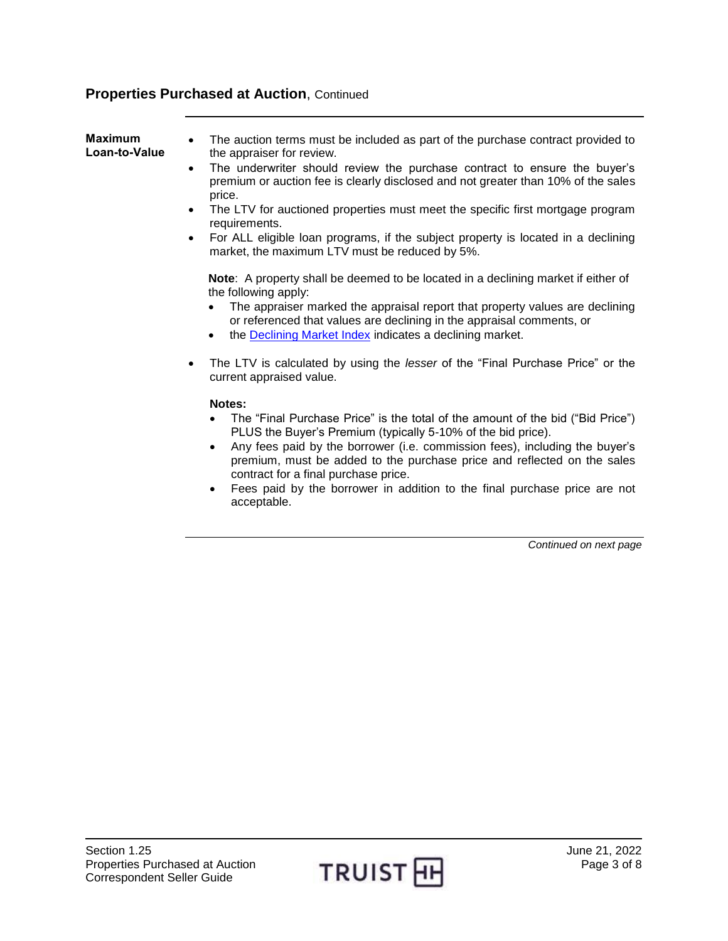<span id="page-2-0"></span>

| <b>Maximum</b><br>Loan-to-Value | The auction terms must be included as part of the purchase contract provided to<br>$\bullet$<br>the appraiser for review.<br>The underwriter should review the purchase contract to ensure the buyer's<br>$\bullet$<br>premium or auction fee is clearly disclosed and not greater than 10% of the sales<br>price.<br>The LTV for auctioned properties must meet the specific first mortgage program<br>$\bullet$<br>requirements.<br>For ALL eligible loan programs, if the subject property is located in a declining<br>$\bullet$<br>market, the maximum LTV must be reduced by 5%. |
|---------------------------------|----------------------------------------------------------------------------------------------------------------------------------------------------------------------------------------------------------------------------------------------------------------------------------------------------------------------------------------------------------------------------------------------------------------------------------------------------------------------------------------------------------------------------------------------------------------------------------------|
|                                 | <b>Note:</b> A property shall be deemed to be located in a declining market if either of<br>the following apply:<br>The appraiser marked the appraisal report that property values are declining<br>or referenced that values are declining in the appraisal comments, or<br>the <b>Declining Market Index</b> indicates a declining market.<br>The LTV is calculated by using the <i>lesser</i> of the "Final Purchase Price" or the<br>$\bullet$                                                                                                                                     |
|                                 | current appraised value.<br>Notes:<br>The "Final Purchase Price" is the total of the amount of the bid ("Bid Price")<br>PLUS the Buyer's Premium (typically 5-10% of the bid price).<br>Any fees paid by the borrower (i.e. commission fees), including the buyer's<br>premium, must be added to the purchase price and reflected on the sales<br>contract for a final purchase price.<br>Fees paid by the borrower in addition to the final purchase price are not<br>acceptable.                                                                                                     |

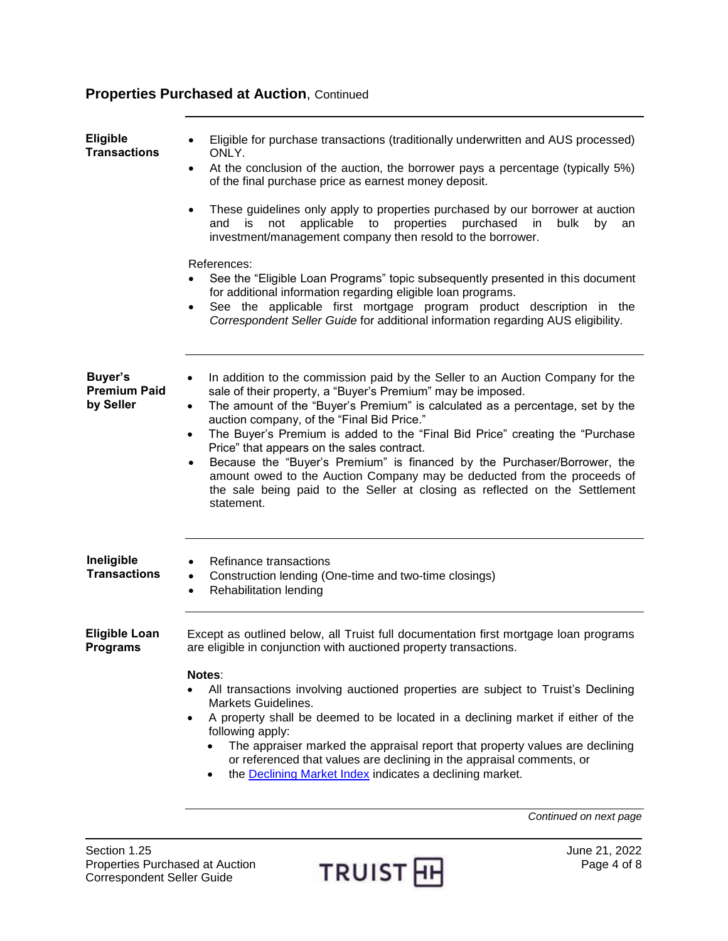<span id="page-3-1"></span><span id="page-3-0"></span>

| <b>Eligible</b><br><b>Transactions</b>      | Eligible for purchase transactions (traditionally underwritten and AUS processed)<br>ONLY.<br>At the conclusion of the auction, the borrower pays a percentage (typically 5%)<br>$\bullet$<br>of the final purchase price as earnest money deposit.<br>These guidelines only apply to properties purchased by our borrower at auction<br>$\bullet$<br>applicable<br>to<br>properties<br>purchased<br>bulk<br>and<br>is<br>not<br>in.<br>by<br>an<br>investment/management company then resold to the borrower.<br>References:<br>See the "Eligible Loan Programs" topic subsequently presented in this document<br>for additional information regarding eligible loan programs.<br>See the applicable first mortgage program product description in the<br>٠<br>Correspondent Seller Guide for additional information regarding AUS eligibility. |
|---------------------------------------------|--------------------------------------------------------------------------------------------------------------------------------------------------------------------------------------------------------------------------------------------------------------------------------------------------------------------------------------------------------------------------------------------------------------------------------------------------------------------------------------------------------------------------------------------------------------------------------------------------------------------------------------------------------------------------------------------------------------------------------------------------------------------------------------------------------------------------------------------------|
| Buyer's<br><b>Premium Paid</b><br>by Seller | In addition to the commission paid by the Seller to an Auction Company for the<br>$\bullet$<br>sale of their property, a "Buyer's Premium" may be imposed.<br>The amount of the "Buyer's Premium" is calculated as a percentage, set by the<br>$\bullet$<br>auction company, of the "Final Bid Price."<br>The Buyer's Premium is added to the "Final Bid Price" creating the "Purchase<br>$\bullet$<br>Price" that appears on the sales contract.<br>Because the "Buyer's Premium" is financed by the Purchaser/Borrower, the<br>$\bullet$<br>amount owed to the Auction Company may be deducted from the proceeds of<br>the sale being paid to the Seller at closing as reflected on the Settlement<br>statement.                                                                                                                               |
| Ineligible<br><b>Transactions</b>           | Refinance transactions<br>Construction lending (One-time and two-time closings)<br>$\bullet$<br>Rehabilitation lending<br>$\bullet$                                                                                                                                                                                                                                                                                                                                                                                                                                                                                                                                                                                                                                                                                                              |
| <b>Eligible Loan</b><br><b>Programs</b>     | Except as outlined below, all Truist full documentation first mortgage loan programs<br>are eligible in conjunction with auctioned property transactions.<br>Notes:<br>All transactions involving auctioned properties are subject to Truist's Declining<br>Markets Guidelines.<br>A property shall be deemed to be located in a declining market if either of the<br>$\bullet$<br>following apply:<br>The appraiser marked the appraisal report that property values are declining<br>or referenced that values are declining in the appraisal comments, or<br>the Declining Market Index indicates a declining market.                                                                                                                                                                                                                         |

<span id="page-3-3"></span><span id="page-3-2"></span>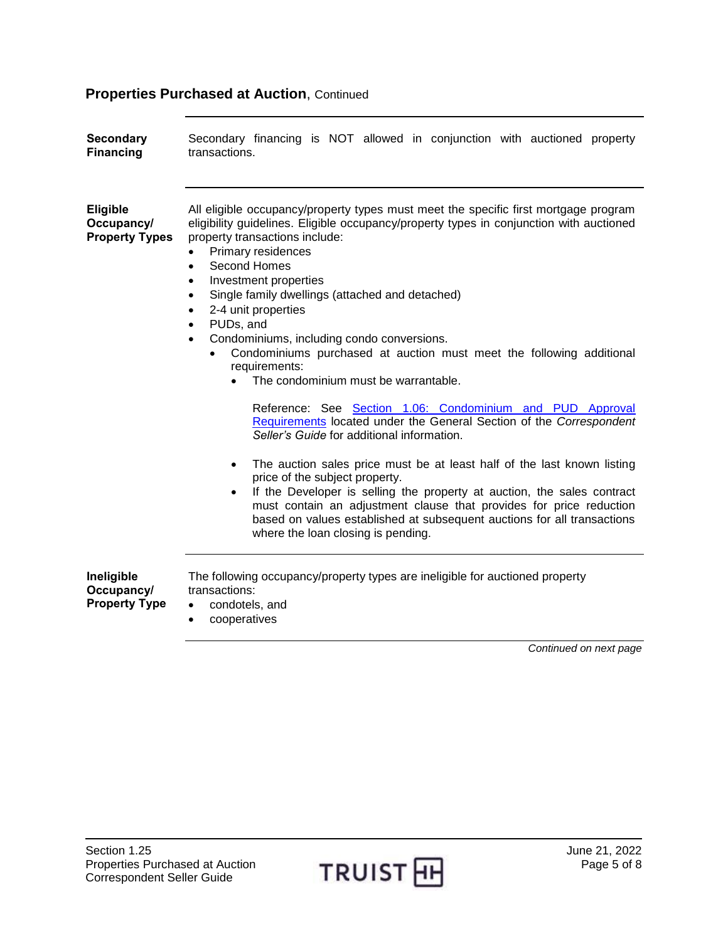<span id="page-4-1"></span><span id="page-4-0"></span>

| <b>Secondary</b><br><b>Financing</b>                   | Secondary financing is NOT allowed in conjunction with auctioned property<br>transactions.                                                                                                                                                                                                                                                                                                                                                                                                                                                                                                                                                                                                                                                                                                                                                                                                                                                                                                                                                                                                        |
|--------------------------------------------------------|---------------------------------------------------------------------------------------------------------------------------------------------------------------------------------------------------------------------------------------------------------------------------------------------------------------------------------------------------------------------------------------------------------------------------------------------------------------------------------------------------------------------------------------------------------------------------------------------------------------------------------------------------------------------------------------------------------------------------------------------------------------------------------------------------------------------------------------------------------------------------------------------------------------------------------------------------------------------------------------------------------------------------------------------------------------------------------------------------|
| <b>Eligible</b><br>Occupancy/<br><b>Property Types</b> | All eligible occupancy/property types must meet the specific first mortgage program<br>eligibility guidelines. Eligible occupancy/property types in conjunction with auctioned<br>property transactions include:<br>Primary residences<br>$\bullet$<br>Second Homes<br>$\bullet$<br>Investment properties<br>$\bullet$<br>Single family dwellings (attached and detached)<br>$\bullet$<br>2-4 unit properties<br>PUDs, and<br>Condominiums, including condo conversions.<br>$\bullet$<br>Condominiums purchased at auction must meet the following additional<br>requirements:<br>The condominium must be warrantable.<br>Reference: See Section 1.06: Condominium and PUD Approval<br>Requirements located under the General Section of the Correspondent<br>Seller's Guide for additional information.<br>The auction sales price must be at least half of the last known listing<br>$\bullet$<br>price of the subject property.<br>If the Developer is selling the property at auction, the sales contract<br>$\bullet$<br>must contain an adjustment clause that provides for price reduction |
|                                                        | based on values established at subsequent auctions for all transactions<br>where the loan closing is pending.                                                                                                                                                                                                                                                                                                                                                                                                                                                                                                                                                                                                                                                                                                                                                                                                                                                                                                                                                                                     |
| Ineligible<br>Occupancy/<br><b>Property Type</b>       | The following occupancy/property types are ineligible for auctioned property<br>transactions:<br>condotels, and<br>$\bullet$<br>cooperatives                                                                                                                                                                                                                                                                                                                                                                                                                                                                                                                                                                                                                                                                                                                                                                                                                                                                                                                                                      |

<span id="page-4-2"></span>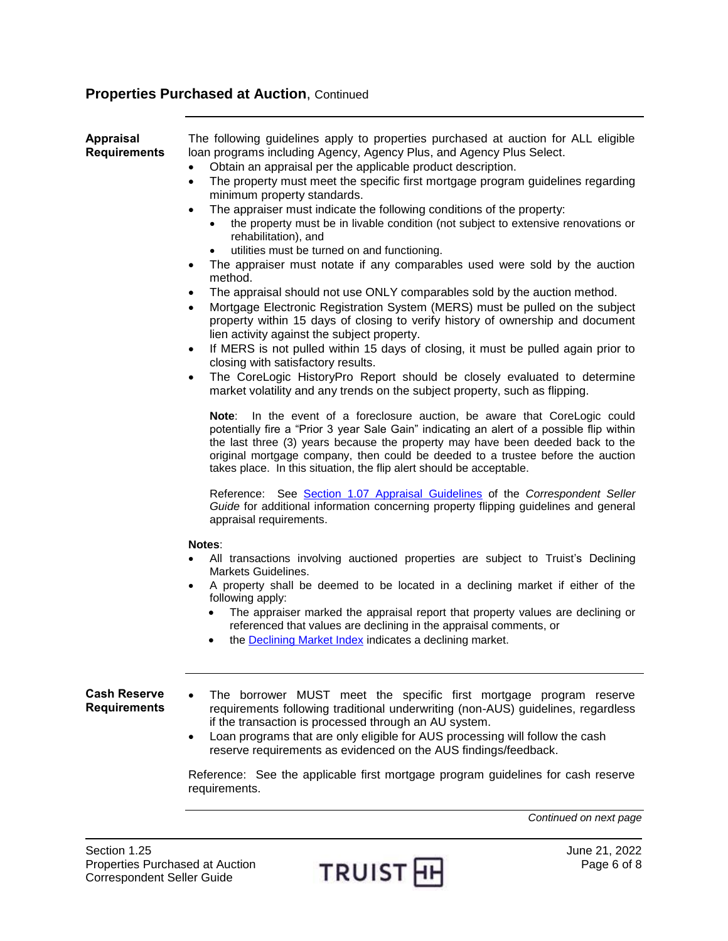<span id="page-5-0"></span>

| <b>Appraisal</b><br><b>Requirements</b>    | The following guidelines apply to properties purchased at auction for ALL eligible<br>loan programs including Agency, Agency Plus, and Agency Plus Select.<br>Obtain an appraisal per the applicable product description.<br>$\bullet$<br>The property must meet the specific first mortgage program guidelines regarding<br>$\bullet$<br>minimum property standards.<br>The appraiser must indicate the following conditions of the property:<br>$\bullet$<br>the property must be in livable condition (not subject to extensive renovations or<br>rehabilitation), and<br>utilities must be turned on and functioning.<br>The appraiser must notate if any comparables used were sold by the auction<br>$\bullet$<br>method.<br>The appraisal should not use ONLY comparables sold by the auction method.<br>$\bullet$<br>Mortgage Electronic Registration System (MERS) must be pulled on the subject<br>$\bullet$<br>property within 15 days of closing to verify history of ownership and document<br>lien activity against the subject property.<br>If MERS is not pulled within 15 days of closing, it must be pulled again prior to<br>$\bullet$<br>closing with satisfactory results.<br>The CoreLogic HistoryPro Report should be closely evaluated to determine<br>$\bullet$<br>market volatility and any trends on the subject property, such as flipping.<br>In the event of a foreclosure auction, be aware that CoreLogic could<br>Note:<br>potentially fire a "Prior 3 year Sale Gain" indicating an alert of a possible flip within<br>the last three (3) years because the property may have been deeded back to the<br>original mortgage company, then could be deeded to a trustee before the auction<br>takes place. In this situation, the flip alert should be acceptable.<br>Reference: See Section 1.07 Appraisal Guidelines of the Correspondent Seller<br>Guide for additional information concerning property flipping guidelines and general<br>appraisal requirements.<br><b>Notes:</b><br>All transactions involving auctioned properties are subject to Truist's Declining<br>Markets Guidelines. |
|--------------------------------------------|------------------------------------------------------------------------------------------------------------------------------------------------------------------------------------------------------------------------------------------------------------------------------------------------------------------------------------------------------------------------------------------------------------------------------------------------------------------------------------------------------------------------------------------------------------------------------------------------------------------------------------------------------------------------------------------------------------------------------------------------------------------------------------------------------------------------------------------------------------------------------------------------------------------------------------------------------------------------------------------------------------------------------------------------------------------------------------------------------------------------------------------------------------------------------------------------------------------------------------------------------------------------------------------------------------------------------------------------------------------------------------------------------------------------------------------------------------------------------------------------------------------------------------------------------------------------------------------------------------------------------------------------------------------------------------------------------------------------------------------------------------------------------------------------------------------------------------------------------------------------------------------------------------------------------------------------------------------------------------------------------------------------------------------------------------------------------------------------------------------------------------|
|                                            | A property shall be deemed to be located in a declining market if either of the<br>٠<br>following apply:<br>The appraiser marked the appraisal report that property values are declining or<br>referenced that values are declining in the appraisal comments, or<br>the <b>Declining Market Index</b> indicates a declining market.                                                                                                                                                                                                                                                                                                                                                                                                                                                                                                                                                                                                                                                                                                                                                                                                                                                                                                                                                                                                                                                                                                                                                                                                                                                                                                                                                                                                                                                                                                                                                                                                                                                                                                                                                                                               |
| <b>Cash Reserve</b><br><b>Requirements</b> | The borrower MUST meet the specific first mortgage program reserve<br>requirements following traditional underwriting (non-AUS) guidelines, regardless<br>if the transaction is processed through an AU system.<br>Loan programs that are only eligible for AUS processing will follow the cash<br>$\bullet$<br>reserve requirements as evidenced on the AUS findings/feedback.<br>Reference: See the applicable first mortgage program guidelines for cash reserve<br>requirements.                                                                                                                                                                                                                                                                                                                                                                                                                                                                                                                                                                                                                                                                                                                                                                                                                                                                                                                                                                                                                                                                                                                                                                                                                                                                                                                                                                                                                                                                                                                                                                                                                                               |

<span id="page-5-1"></span>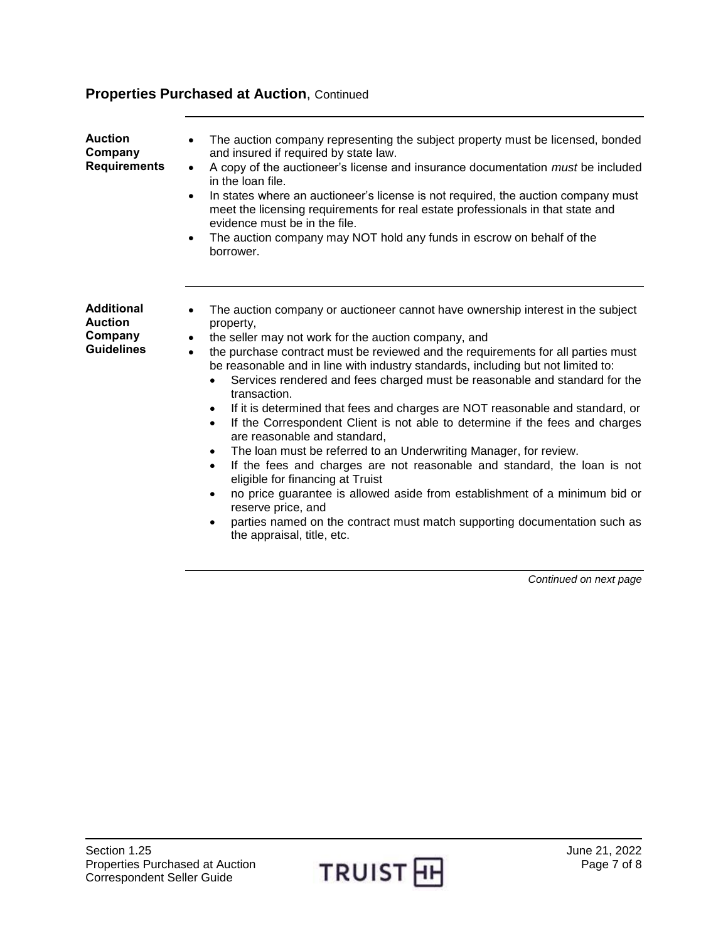<span id="page-6-1"></span><span id="page-6-0"></span>

| <b>Auction</b>                      | The auction company representing the subject property must be licensed, bonded<br>$\bullet$                                                                                                                        |
|-------------------------------------|--------------------------------------------------------------------------------------------------------------------------------------------------------------------------------------------------------------------|
| Company                             | and insured if required by state law.                                                                                                                                                                              |
| <b>Requirements</b>                 | A copy of the auctioneer's license and insurance documentation must be included<br>$\bullet$<br>in the loan file.                                                                                                  |
|                                     | In states where an auctioneer's license is not required, the auction company must<br>$\bullet$<br>meet the licensing requirements for real estate professionals in that state and<br>evidence must be in the file. |
|                                     | The auction company may NOT hold any funds in escrow on behalf of the<br>٠<br>borrower.                                                                                                                            |
|                                     |                                                                                                                                                                                                                    |
|                                     |                                                                                                                                                                                                                    |
| <b>Additional</b><br><b>Auction</b> | The auction company or auctioneer cannot have ownership interest in the subject<br>property,                                                                                                                       |
| Company                             | the seller may not work for the auction company, and<br>$\bullet$                                                                                                                                                  |
| <b>Guidelines</b>                   | the purchase contract must be reviewed and the requirements for all parties must<br>$\bullet$<br>be reasonable and in line with industry standards, including but not limited to:                                  |
|                                     | Services rendered and fees charged must be reasonable and standard for the<br>transaction.                                                                                                                         |
|                                     | If it is determined that fees and charges are NOT reasonable and standard, or<br>$\bullet$                                                                                                                         |
|                                     | If the Correspondent Client is not able to determine if the fees and charges<br>$\bullet$<br>are reasonable and standard,                                                                                          |
|                                     | The loan must be referred to an Underwriting Manager, for review.<br>$\bullet$                                                                                                                                     |
|                                     | If the fees and charges are not reasonable and standard, the loan is not<br>$\bullet$<br>eligible for financing at Truist                                                                                          |
|                                     | no price guarantee is allowed aside from establishment of a minimum bid or<br>$\bullet$<br>reserve price, and                                                                                                      |
|                                     | parties named on the contract must match supporting documentation such as<br>the appraisal, title, etc.                                                                                                            |